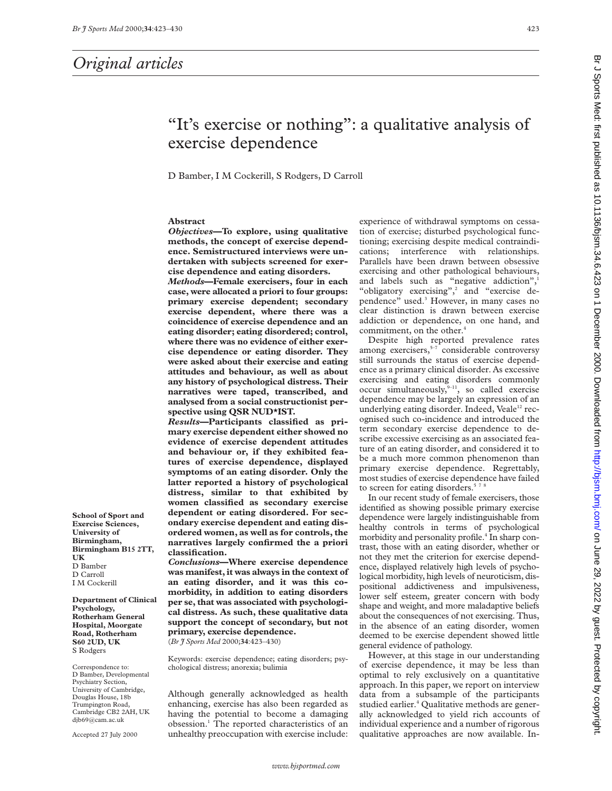# Br J Sports Med: first published as 10.1136/bjsm.34.6.423 on 1 December 2000. Downloaded from http://bjsm.bmj/com/ on June 29, 2022 by guest. Protected by right br Jon June 29, 2022 by guest. Protected by 2022 by Guest December 2000. Download from Br J Sports Web 29, 2022 by Sports And Dischlight. Dr. 1136/bjsm. Br J Sports And Dischlight. Dr. 2020, 2022 by 2022 by 2022 by Thirtin

# "It's exercise or nothing": a qualitative analysis of exercise dependence

D Bamber, I M Cockerill, S Rodgers, D Carroll

# **Abstract**

*Objectives***—To explore, using qualitative methods, the concept of exercise dependence. Semistructured interviews were undertaken with subjects screened for exercise dependence and eating disorders.**

*Methods***—Female exercisers, four in each case, were allocated a priori to four groups: primary exercise dependent; secondary exercise dependent, where there was a coincidence of exercise dependence and an eating disorder; eating disordered; control, where there was no evidence of either exercise dependence or eating disorder. They were asked about their exercise and eating attitudes and behaviour, as well as about any history of psychological distress. Their narratives were taped, transcribed, and analysed from a social constructionist perspective using QSR NUD\*IST.**

*Results***—Participants classified as primary exercise dependent either showed no evidence of exercise dependent attitudes and behaviour or, if they exhibited features of exercise dependence, displayed symptoms of an eating disorder. Only the latter reported a history of psychological distress, similar to that exhibited by women classified as secondary exercise dependent or eating disordered. For secondary exercise dependent and eating disordered women, as well as for controls, the narratives largely confirmed the a priori classification.**

*Conclusions***—Where exercise dependence was manifest, it was always in the context of an eating disorder, and it was this comorbidity, in addition to eating disorders per se, that was associated with psychological distress. As such, these qualitative data support the concept of secondary, but not primary, exercise dependence.**

(*Br J Sports Med* 2000;**34**:423–430)

Keywords: exercise dependence; eating disorders; psychological distress; anorexia; bulimia

Although generally acknowledged as health enhancing, exercise has also been regarded as having the potential to become a damaging obsession.1 The reported characteristics of an unhealthy preoccupation with exercise include:

experience of withdrawal symptoms on cessation of exercise; disturbed psychological functioning; exercising despite medical contraindications; interference with relationships. Parallels have been drawn between obsessive exercising and other pathological behaviours, and labels such as "negative addiction", "obligatory exercising",<sup>2</sup> and "exercise dependence" used.3 However, in many cases no clear distinction is drawn between exercise addiction or dependence, on one hand, and commitment, on the other.<sup>4</sup>

Despite high reported prevalence rates among exercisers, $5-7$  considerable controversy still surrounds the status of exercise dependence as a primary clinical disorder. As excessive exercising and eating disorders commonly occur simultaneously, $9-11$ , so called exercise dependence may be largely an expression of an underlying eating disorder. Indeed, Veale<sup>12</sup> recognised such co-incidence and introduced the term secondary exercise dependence to describe excessive exercising as an associated feature of an eating disorder, and considered it to be a much more common phenomenon than primary exercise dependence. Regrettably, most studies of exercise dependence have failed to screen for eating disorders.<sup>57</sup>

In our recent study of female exercisers, those identified as showing possible primary exercise dependence were largely indistinguishable from healthy controls in terms of psychological morbidity and personality profile.<sup>4</sup> In sharp contrast, those with an eating disorder, whether or not they met the criterion for exercise dependence, displayed relatively high levels of psychological morbidity, high levels of neuroticism, dispositional addictiveness and impulsiveness, lower self esteem, greater concern with body shape and weight, and more maladaptive beliefs about the consequences of not exercising. Thus, in the absence of an eating disorder, women deemed to be exercise dependent showed little general evidence of pathology.

However, at this stage in our understanding of exercise dependence, it may be less than optimal to rely exclusively on a quantitative approach. In this paper, we report on interview data from a subsample of the participants studied earlier.<sup>4</sup> Qualitative methods are generally acknowledged to yield rich accounts of individual experience and a number of rigorous qualitative approaches are now available. In-

**School of Sport and Exercise Sciences, University of Birmingham, Birmingham B15 2TT, UK** D Bamber D Carroll I M Cockerill

**Department of Clinical Psychology, Rotherham General Hospital, Moorgate Road, Rotherham S60 2UD, UK** S Rodgers

Correspondence to: D Bamber, Developmental Psychiatry Section, University of Cambridge, Douglas House, 18b Trumpington Road, Cambridge CB2 2AH, UK dib69@cam.ac.uk

Accepted 27 July 2000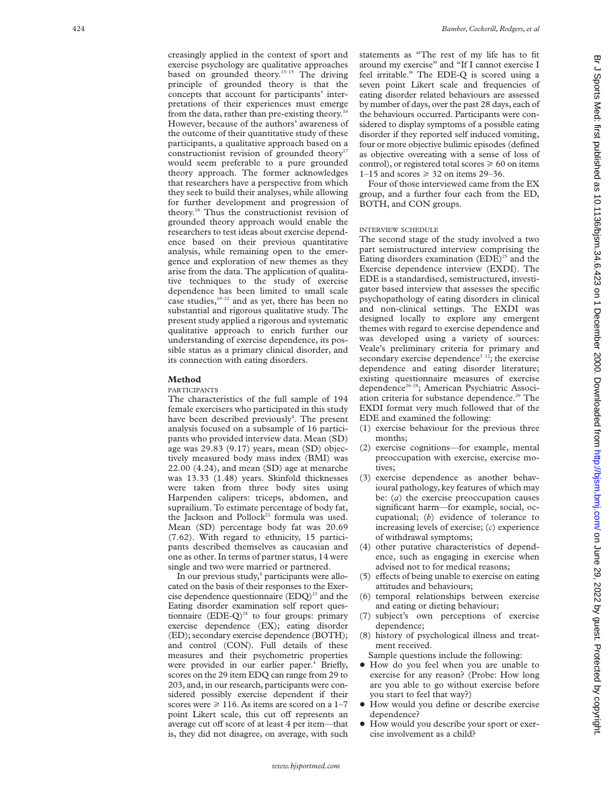creasingly applied in the context of sport and exercise psychology are qualitative approaches based on grounded theory.<sup>13-15</sup> The driving principle of grounded theory is that the concepts that account for participants' interpretations of their experiences must emerge from the data, rather than pre-existing theory.<sup>1</sup> However, because of the authors' awareness of the outcome of their quantitative study of these participants, a qualitative approach based on a constructionist revision of grounded theory<sup>17</sup> would seem preferable to a pure grounded theory approach. The former acknowledges that researchers have a perspective from which they seek to build their analyses, while allowing for further development and progression of theory.18 Thus the constructionist revision of grounded theory approach would enable the researchers to test ideas about exercise dependence based on their previous quantitative analysis, while remaining open to the emergence and exploration of new themes as they arise from the data. The application of qualitative techniques to the study of exercise dependence has been limited to small scale case studies,<sup>19-21</sup> and as yet, there has been no substantial and rigorous qualitative study. The present study applied a rigorous and systematic qualitative approach to enrich further our understanding of exercise dependence, its possible status as a primary clinical disorder, and its connection with eating disorders.

# **Method**

# PARTICIPANTS

The characteristics of the full sample of 194 female exercisers who participated in this study have been described previously 4 . The present analysis focused on a subsample of 16 participants who provided interview data. Mean (SD) age was 29.83 (9.17) years, mean (SD) objectively measured body mass index (BMI) was 22.00 (4.24), and mean (SD) age at menarche was 13.33 (1.48) years. Skinfold thicknesses were taken from three body sites using Harpenden calipers: triceps, abdomen, and suprailium. To estimate percentage of body fat, the Jackson and Pollock<sup>22</sup> formula was used. Mean (SD) percentage body fat was 20.69 (7.62). With regard to ethnicity, 15 participants described themselves as caucasian and one as other. In terms of partner status, 14 were single and two were married or partnered.

In our previous study, <sup>4</sup> participants were allocated on the basis of their responses to the Exercise dependence questionnaire  $(EDQ)^{23}$  and the Eating disorder examination self report questionnaire  $(EDE-Q)^{24}$  to four groups: primary exercise dependence (EX); eating disorder (ED); secondary exercise dependence (BOTH); and control (CON). Full details of these measures and their psychometric properties were provided in our earlier paper. <sup>4</sup> Briefly, scores on the 29 item EDQ can range from 29 to 203, and, in our research, participants were considered possibly exercise dependent if their scores were  $\geq 116$ . As items are scored on a 1-7 point Likert scale, this cut off represents an average cut off score of at least 4 per item-that is, they did not disagree, on average, with such statements as "The rest of my life has to fit around my exercise" and "If I cannot exercise I feel irritable." The EDE-Q is scored using a seven point Likert scale and frequencies of eating disorder related behaviours are assessed by number of days, over the past 28 days, each of the behaviours occurred. Participants were considered to display symptoms of a possible eating disorder if they reported self induced vomiting, four or more objective bulimic episodes (defined as objective overeating with a sense of loss of control), or registered total scores > 60 on items 1–15 and scores  $\geq 32$  on items 29–36.

Four of those interviewed came from the EX group, and a further four each from the ED, BOTH, and CON groups.

# INTERVIEW SCHEDULE

The second stage of the study involved a two part semistructured interview comprising the Eating disorders examination  $(EDE)^{25}$  and the Exercise dependence interview (EXDI). The EDE is a standardised, semistructured, investigator based interview that assesses the specific psychopathology of eating disorders in clinical and non-clinical settings. The EXDI was designed locally to explore any emergent themes with regard to exercise dependence and was developed using a variety of sources: Veale's preliminary criteria for primary and secondary exercise dependence<sup>3 12</sup>; the exercise dependence and eating disorder literature; existing questionnaire measures of exercise dependence26–28; American Psychiatric Association criteria for substance dependence.<sup>29</sup> The EXDI format very much followed that of the EDE and examined the following:

- (1) exercise behaviour for the previous three months;
- (2) exercise cognitions—for example, mental preoccupation with exercise, exercise motives;
- (3) exercise dependence as another behavioural pathology, key features of which may be: ( *a*) the exercise preoccupation causes significant harm—for example, social, occupational; (*b*) evidence of tolerance to increasing levels of exercise; ( *c*) experience of withdrawal symptoms;
- (4) other putative characteristics of dependence, such as engaging in exercise when advised not to for medical reasons;
- (5) effects of being unable to exercise on eating attitudes and behaviours;
- (6) temporal relationships between exercise and eating or dieting behaviour;
- (7) subject's own perceptions of exercise dependence;
- (8) history of psychological illness and treatment received.

Sample questions include the following:

- + How do you feel when you are unable to exercise for any reason? (Probe: How long are you able to go without exercise before you start to feel that way?)
- How would you define or describe exercise dependence?
- $\bullet$  How would you describe your sport or exercise involvement as a child?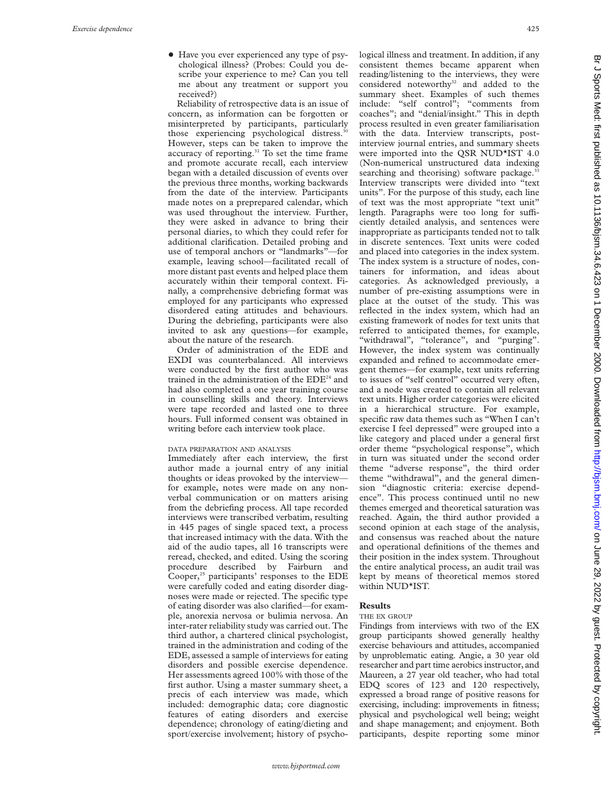+ Have you ever experienced any type of psychological illness? (Probes: Could you describe your experience to me? Can you tell me about any treatment or support you received?)

Reliability of retrospective data is an issue of concern, as information can be forgotten or misinterpreted by participants, particularly those experiencing psychological distress. $36$ However, steps can be taken to improve the accuracy of reporting.<sup>31</sup> To set the time frame and promote accurate recall, each interview began with a detailed discussion of events over the previous three months, working backwards from the date of the interview. Participants made notes on a preprepared calendar, which was used throughout the interview. Further, they were asked in advance to bring their personal diaries, to which they could refer for additional clarification. Detailed probing and use of temporal anchors or "landmarks"—for example, leaving school—facilitated recall of more distant past events and helped place them accurately within their temporal context. Finally, a comprehensive debriefing format was employed for any participants who expressed disordered eating attitudes and behaviours. During the debriefing, participants were also invited to ask any questions—for example, about the nature of the research.

Order of administration of the EDE and EXDI was counterbalanced. All interviews were conducted by the first author who was trained in the administration of the EDE<sup>24</sup> and had also completed a one year training course in counselling skills and theory. Interviews were tape recorded and lasted one to three hours. Full informed consent was obtained in writing before each interview took place.

# DATA PREPARATION AND ANALYSIS

Immediately after each interview, the first author made a journal entry of any initial thoughts or ideas provoked by the interview for example, notes were made on any nonverbal communication or on matters arising from the debriefing process. All tape recorded interviews were transcribed verbatim, resulting in 445 pages of single spaced text, a process that increased intimacy with the data. With the aid of the audio tapes, all 16 transcripts were reread, checked, and edited. Using the scoring procedure described by Fairburn and Cooper,<sup>25</sup> participants' responses to the EDE were carefully coded and eating disorder diagnoses were made or rejected. The specific type of eating disorder was also clarified—for example, anorexia nervosa or bulimia nervosa. An inter-rater reliability study was carried out. The third author, a chartered clinical psychologist, trained in the administration and coding of the EDE, assessed a sample of interviews for eating disorders and possible exercise dependence. Her assessments agreed 100% with those of the first author. Using a master summary sheet, a precis of each interview was made, which included: demographic data; core diagnostic features of eating disorders and exercise dependence; chronology of eating/dieting and sport/exercise involvement; history of psycho-

logical illness and treatment. In addition, if any consistent themes became apparent when reading/listening to the interviews, they were considered noteworthy<sup>32</sup> and added to the summary sheet. Examples of such themes include: "self control"; "comments from coaches"; and "denial/insight." This in depth process resulted in even greater familiarisation with the data. Interview transcripts, postinterview journal entries, and summary sheets were imported into the QSR NUD\*IST 4.0 (Non-numerical unstructured data indexing searching and theorising) software package.<sup>3</sup> Interview transcripts were divided into "text units". For the purpose of this study, each line of text was the most appropriate "text unit" length. Paragraphs were too long for sufficiently detailed analysis, and sentences were inappropriate as participants tended not to talk in discrete sentences. Text units were coded and placed into categories in the index system. The index system is a structure of nodes, containers for information, and ideas about categories. As acknowledged previously, a number of pre-existing assumptions were in place at the outset of the study. This was reflected in the index system, which had an existing framework of nodes for text units that referred to anticipated themes, for example, "withdrawal", "tolerance", and "purging". However, the index system was continually expanded and refined to accommodate emergent themes—for example, text units referring to issues of "self control" occurred very often, and a node was created to contain all relevant text units. Higher order categories were elicited in a hierarchical structure. For example, specific raw data themes such as "When I can't exercise I feel depressed" were grouped into a like category and placed under a general first order theme "psychological response", which in turn was situated under the second order theme "adverse response", the third order theme "withdrawal", and the general dimension "diagnostic criteria: exercise dependence". This process continued until no new themes emerged and theoretical saturation was reached. Again, the third author provided a second opinion at each stage of the analysis, and consensus was reached about the nature and operational definitions of the themes and their position in the index system. Throughout the entire analytical process, an audit trail was kept by means of theoretical memos stored within NUD\*IST.

### **Results**

### THE EX GROUP

Findings from interviews with two of the EX group participants showed generally healthy exercise behaviours and attitudes, accompanied by unproblematic eating. Angie, a 30 year old researcher and part time aerobics instructor, and Maureen, a 27 year old teacher, who had total EDQ scores of 123 and 120 respectively, expressed a broad range of positive reasons for exercising, including: improvements in fitness; physical and psychological well being; weight and shape management; and enjoyment. Both participants, despite reporting some minor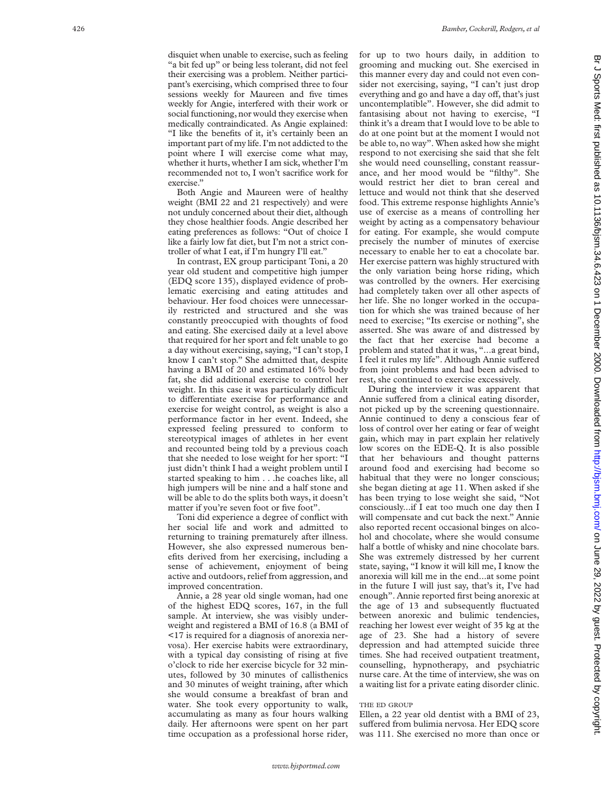disquiet when unable to exercise, such as feeling "a bit fed up" or being less tolerant, did not feel their exercising was a problem. Neither participant's exercising, which comprised three to four sessions weekly for Maureen and five times weekly for Angie, interfered with their work or social functioning, nor would they exercise when medically contraindicated. As Angie explained: "I like the benefits of it, it's certainly been an important part of my life. I'm not addicted to the point where I will exercise come what may, whether it hurts, whether I am sick, whether I'm recommended not to, I won't sacrifice work for exercise."

Both Angie and Maureen were of healthy weight (BMI 22 and 21 respectively) and were not unduly concerned about their diet, although they chose healthier foods. Angie described her eating preferences as follows: "Out of choice I like a fairly low fat diet, but I'm not a strict controller of what I eat, if I'm hungry I'll eat."

In contrast, EX group participant Toni, a 20 year old student and competitive high jumper (EDQ score 135), displayed evidence of problematic exercising and eating attitudes and behaviour. Her food choices were unnecessarily restricted and structured and she was constantly preoccupied with thoughts of food and eating. She exercised daily at a level above that required for her sport and felt unable to go a day without exercising, saying, "I can't stop, I know I can't stop." She admitted that, despite having a BMI of 20 and estimated 16% body fat, she did additional exercise to control her weight. In this case it was particularly difficult to differentiate exercise for performance and exercise for weight control, as weight is also a performance factor in her event. Indeed, she expressed feeling pressured to conform to stereotypical images of athletes in her event and recounted being told by a previous coach that she needed to lose weight for her sport: "I just didn't think I had a weight problem until I started speaking to him . . .he coaches like, all high jumpers will be nine and a half stone and will be able to do the splits both ways, it doesn't matter if you're seven foot or five foot".

Toni did experience a degree of conflict with her social life and work and admitted to returning to training prematurely after illness. However, she also expressed numerous benefits derived from her exercising, including a sense of achievement, enjoyment of being active and outdoors, relief from aggression, and improved concentration.

Annie, a 28 year old single woman, had one of the highest EDQ scores, 167, in the full sample. At interview, she was visibly underweight and registered a BMI of 16.8 (a BMI of <17 is required for a diagnosis of anorexia nervosa). Her exercise habits were extraordinary, with a typical day consisting of rising at five o'clock to ride her exercise bicycle for 32 minutes, followed by 30 minutes of callisthenics and 30 minutes of weight training, after which she would consume a breakfast of bran and water. She took every opportunity to walk, accumulating as many as four hours walking daily. Her afternoons were spent on her part time occupation as a professional horse rider,

for up to two hours daily, in addition to grooming and mucking out. She exercised in this manner every day and could not even consider not exercising, saying, "I can't just drop everything and go and have a day off, that's just uncontemplatible". However, she did admit to fantasising about not having to exercise, "I think it's a dream that I would love to be able to do at one point but at the moment I would not be able to, no way". When asked how she might respond to not exercising she said that she felt she would need counselling, constant reassurance, and her mood would be "filthy". She would restrict her diet to bran cereal and lettuce and would not think that she deserved food. This extreme response highlights Annie's use of exercise as a means of controlling her weight by acting as a compensatory behaviour for eating. For example, she would compute precisely the number of minutes of exercise necessary to enable her to eat a chocolate bar. Her exercise pattern was highly structured with the only variation being horse riding, which was controlled by the owners. Her exercising had completely taken over all other aspects of her life. She no longer worked in the occupation for which she was trained because of her need to exercise; "Its exercise or nothing", she asserted. She was aware of and distressed by the fact that her exercise had become a problem and stated that it was, "...a great bind, I feel it rules my life". Although Annie suffered from joint problems and had been advised to rest, she continued to exercise excessively.

During the interview it was apparent that Annie suffered from a clinical eating disorder, not picked up by the screening questionnaire. Annie continued to deny a conscious fear of loss of control over her eating or fear of weight gain, which may in part explain her relatively low scores on the EDE-Q. It is also possible that her behaviours and thought patterns around food and exercising had become so habitual that they were no longer conscious; she began dieting at age 11. When asked if she has been trying to lose weight she said, "Not consciously...if I eat too much one day then I will compensate and cut back the next." Annie also reported recent occasional binges on alcohol and chocolate, where she would consume half a bottle of whisky and nine chocolate bars. She was extremely distressed by her current state, saying, "I know it will kill me, I know the anorexia will kill me in the end...at some point in the future I will just say, that's it, I've had enough". Annie reported first being anorexic at the age of 13 and subsequently fluctuated between anorexic and bulimic tendencies, reaching her lowest ever weight of 35 kg at the age of 23. She had a history of severe depression and had attempted suicide three times. She had received outpatient treatment, counselling, hypnotherapy, and psychiatric nurse care. At the time of interview, she was on a waiting list for a private eating disorder clinic.

# THE ED GROUP

Ellen, a 22 year old dentist with a BMI of 23, su Vered from bulimia nervosa. Her EDQ score was 111. She exercised no more than once or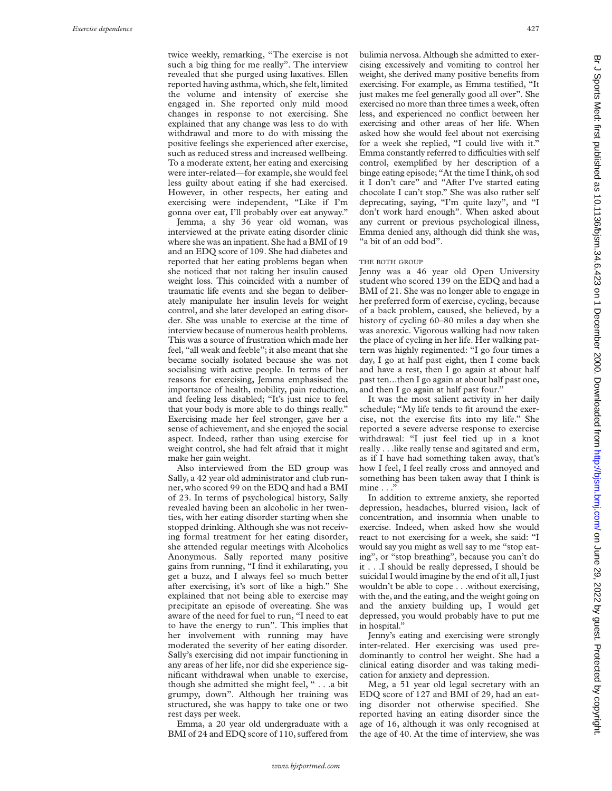twice weekly, remarking, "The exercise is not such a big thing for me really". The interview revealed that she purged using laxatives. Ellen reported having asthma, which, she felt, limited the volume and intensity of exercise she engaged in. She reported only mild mood changes in response to not exercising. She explained that any change was less to do with withdrawal and more to do with missing the positive feelings she experienced after exercise, such as reduced stress and increased wellbeing. To a moderate extent, her eating and exercising were inter-related—for example, she would feel less guilty about eating if she had exercised. However, in other respects, her eating and exercising were independent, "Like if I'm gonna over eat, I'll probably over eat anyway."

Jemma, a shy 36 year old woman, was interviewed at the private eating disorder clinic where she was an inpatient. She had a BMI of 19 and an EDQ score of 109. She had diabetes and reported that her eating problems began when she noticed that not taking her insulin caused weight loss. This coincided with a number of traumatic life events and she began to deliberately manipulate her insulin levels for weight control, and she later developed an eating disorder. She was unable to exercise at the time of interview because of numerous health problems. This was a source of frustration which made her feel, "all weak and feeble"; it also meant that she became socially isolated because she was not socialising with active people. In terms of her reasons for exercising, Jemma emphasised the importance of health, mobility, pain reduction, and feeling less disabled; "It's just nice to feel that your body is more able to do things really." Exercising made her feel stronger, gave her a sense of achievement, and she enjoyed the social aspect. Indeed, rather than using exercise for weight control, she had felt afraid that it might make her gain weight.

Also interviewed from the ED group was Sally, a 42 year old administrator and club runner, who scored 99 on the EDQ and had a BMI of 23. In terms of psychological history, Sally revealed having been an alcoholic in her twenties, with her eating disorder starting when she stopped drinking. Although she was not receiving formal treatment for her eating disorder, she attended regular meetings with Alcoholics Anonymous. Sally reported many positive gains from running, "I find it exhilarating, you get a buzz, and I always feel so much better after exercising, it's sort of like a high." She explained that not being able to exercise may precipitate an episode of overeating. She was aware of the need for fuel to run, "I need to eat to have the energy to run". This implies that her involvement with running may have moderated the severity of her eating disorder. Sally's exercising did not impair functioning in any areas of her life, nor did she experience significant withdrawal when unable to exercise, though she admitted she might feel, " . . .a bit grumpy, down". Although her training was structured, she was happy to take one or two rest days per week.

Emma, a 20 year old undergraduate with a BMI of 24 and EDQ score of 110, suffered from bulimia nervosa. Although she admitted to exercising excessively and vomiting to control her weight, she derived many positive benefits from exercising. For example, as Emma testified, "It just makes me feel generally good all over". She exercised no more than three times a week, often less, and experienced no conflict between her exercising and other areas of her life. When asked how she would feel about not exercising for a week she replied, "I could live with it." Emma constantly referred to difficulties with self control, exemplified by her description of a binge eating episode; "At the time I think, oh sod it I don't care" and "After I've started eating chocolate I can't stop." She was also rather self deprecating, saying, "I'm quite lazy", and "I don't work hard enough". When asked about any current or previous psychological illness, Emma denied any, although did think she was, "a bit of an odd bod".

### THE BOTH GROUP

Jenny was a 46 year old Open University student who scored 139 on the EDQ and had a BMI of 21. She was no longer able to engage in her preferred form of exercise, cycling, because of a back problem, caused, she believed, by a history of cycling 60–80 miles a day when she was anorexic. Vigorous walking had now taken the place of cycling in her life. Her walking pattern was highly regimented: "I go four times a day, I go at half past eight, then I come back and have a rest, then I go again at about half past ten...then I go again at about half past one, and then I go again at half past four."

It was the most salient activity in her daily schedule; "My life tends to fit around the exercise, not the exercise fits into my life." She reported a severe adverse response to exercise withdrawal: "I just feel tied up in a knot really . . .like really tense and agitated and erm, as if I have had something taken away, that's how I feel, I feel really cross and annoyed and something has been taken away that I think is mine . . ."

In addition to extreme anxiety, she reported depression, headaches, blurred vision, lack of concentration, and insomnia when unable to exercise. Indeed, when asked how she would react to not exercising for a week, she said: "I would say you might as well say to me "stop eating", or "stop breathing", because you can't do it . . .I should be really depressed, I should be suicidal I would imagine by the end of it all, I just wouldn't be able to cope . . .without exercising, with the, and the eating, and the weight going on and the anxiety building up, I would get depressed, you would probably have to put me in hospital."

Jenny's eating and exercising were strongly inter-related. Her exercising was used predominantly to control her weight. She had a clinical eating disorder and was taking medication for anxiety and depression.

Meg, a 51 year old legal secretary with an EDQ score of 127 and BMI of 29, had an eating disorder not otherwise specified. She reported having an eating disorder since the age of 16, although it was only recognised at the age of 40. At the time of interview, she was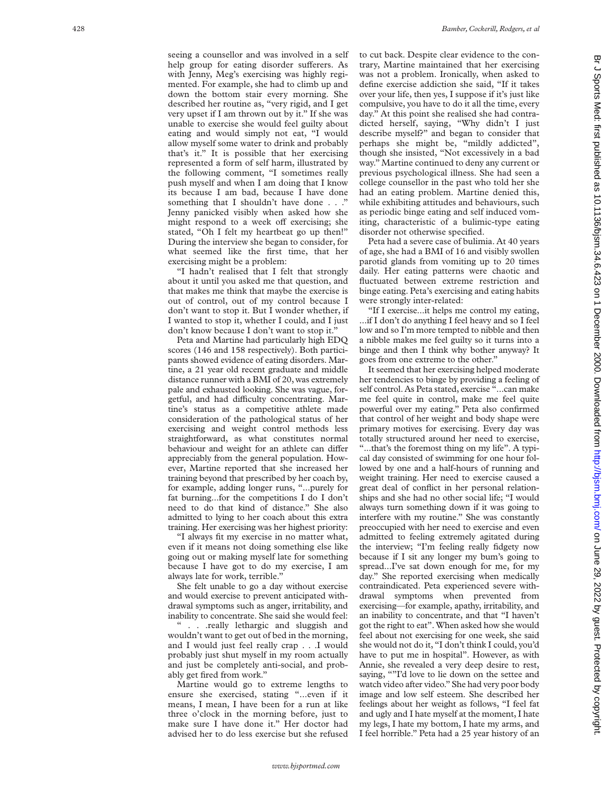seeing a counsellor and was involved in a self help group for eating disorder sufferers. As with Jenny, Meg's exercising was highly regimented. For example, she had to climb up and down the bottom stair every morning. She described her routine as, "very rigid, and I get very upset if I am thrown out by it." If she was unable to exercise she would feel guilty about eating and would simply not eat, "I would allow myself some water to drink and probably that's it." It is possible that her exercising represented a form of self harm, illustrated by the following comment, "I sometimes really push myself and when I am doing that I know its because I am bad, because I have done something that I shouldn't have done . . ." Jenny panicked visibly when asked how she might respond to a week off exercising; she stated, "Oh I felt my heartbeat go up then!" During the interview she began to consider, for what seemed like the first time, that her exercising might be a problem:

"I hadn't realised that I felt that strongly about it until you asked me that question, and that makes me think that maybe the exercise is out of control, out of my control because I don't want to stop it. But I wonder whether, if I wanted to stop it, whether I could, and I just don't know because I don't want to stop it."

Peta and Martine had particularly high EDQ scores (146 and 158 respectively). Both participants showed evidence of eating disorders. Martine, a 21 year old recent graduate and middle distance runner with a BMI of 20, was extremely pale and exhausted looking. She was vague, forgetful, and had difficulty concentrating. Martine's status as a competitive athlete made consideration of the pathological status of her exercising and weight control methods less straightforward, as what constitutes normal behaviour and weight for an athlete can differ appreciably from the general population. However, Martine reported that she increased her training beyond that prescribed by her coach by, for example, adding longer runs, "...purely for fat burning...for the competitions I do I don't need to do that kind of distance." She also admitted to lying to her coach about this extra training. Her exercising was her highest priority:

"I always fit my exercise in no matter what, even if it means not doing something else like going out or making myself late for something because I have got to do my exercise, I am always late for work, terrible."

She felt unable to go a day without exercise and would exercise to prevent anticipated withdrawal symptoms such as anger, irritability, and inability to concentrate. She said she would feel:

" . . .really lethargic and sluggish and wouldn't want to get out of bed in the morning, and I would just feel really crap . . .I would probably just shut myself in my room actually and just be completely anti-social, and probably get fired from work."

Martine would go to extreme lengths to ensure she exercised, stating "...even if it means, I mean, I have been for a run at like three o'clock in the morning before, just to make sure I have done it." Her doctor had advised her to do less exercise but she refused

to cut back. Despite clear evidence to the contrary, Martine maintained that her exercising was not a problem. Ironically, when asked to define exercise addiction she said, "If it takes over your life, then yes, I suppose if it's just like compulsive, you have to do it all the time, every day." At this point she realised she had contradicted herself, saying, "Why didn't I just describe myself?" and began to consider that perhaps she might be, "mildly addicted", though she insisted, "Not excessively in a bad way." Martine continued to deny any current or previous psychological illness. She had seen a college counsellor in the past who told her she had an eating problem. Martine denied this, while exhibiting attitudes and behaviours, such as periodic binge eating and self induced vomiting, characteristic of a bulimic-type eating disorder not otherwise specified.

Peta had a severe case of bulimia. At 40 years of age, she had a BMI of 16 and visibly swollen parotid glands from vomiting up to 20 times daily. Her eating patterns were chaotic and fluctuated between extreme restriction and binge eating. Peta's exercising and eating habits were strongly inter-related:

"If I exercise...it helps me control my eating, ...if I don't do anything I feel heavy and so I feel low and so I'm more tempted to nibble and then a nibble makes me feel guilty so it turns into a binge and then I think why bother anyway? It goes from one extreme to the other."

It seemed that her exercising helped moderate her tendencies to binge by providing a feeling of self control. As Peta stated, exercise "...can make me feel quite in control, make me feel quite powerful over my eating." Peta also confirmed that control of her weight and body shape were primary motives for exercising. Every day was totally structured around her need to exercise, "...that's the foremost thing on my life". A typical day consisted of swimming for one hour followed by one and a half-hours of running and weight training. Her need to exercise caused a great deal of conflict in her personal relationships and she had no other social life; "I would always turn something down if it was going to interfere with my routine." She was constantly preoccupied with her need to exercise and even admitted to feeling extremely agitated during the interview; "I'm feeling really fidgety now because if I sit any longer my bum's going to spread...I've sat down enough for me, for my day." She reported exercising when medically contraindicated. Peta experienced severe withdrawal symptoms when prevented from exercising—for example, apathy, irritability, and an inability to concentrate, and that "I haven't got the right to eat". When asked how she would feel about not exercising for one week, she said she would not do it, "I don't think I could, you'd have to put me in hospital". However, as with Annie, she revealed a very deep desire to rest, saying, ""I'd love to lie down on the settee and watch video after video." She had very poor body image and low self esteem. She described her feelings about her weight as follows, "I feel fat and ugly and I hate myself at the moment, I hate my legs, I hate my bottom, I hate my arms, and I feel horrible." Peta had a 25 year history of an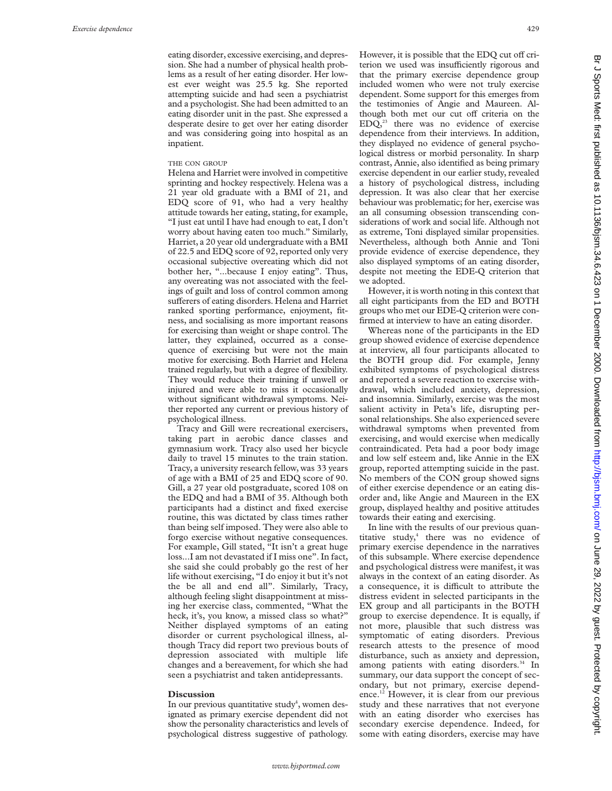eating disorder, excessive exercising, and depression. She had a number of physical health problems as a result of her eating disorder. Her lowest ever weight was 25.5 kg. She reported attempting suicide and had seen a psychiatrist and a psychologist. She had been admitted to an eating disorder unit in the past. She expressed a desperate desire to get over her eating disorder and was considering going into hospital as an inpatient.

# THE CON GROUP

Helena and Harriet were involved in competitive sprinting and hockey respectively. Helena was a 21 year old graduate with a BMI of 21, and EDQ score of 91, who had a very healthy attitude towards her eating, stating, for example, "I just eat until I have had enough to eat, I don't worry about having eaten too much." Similarly, Harriet, a 20 year old undergraduate with a BMI of 22.5 and EDQ score of 92, reported only very occasional subjective overeating which did not bother her, "...because I enjoy eating". Thus, any overeating was not associated with the feelings of guilt and loss of control common among sufferers of eating disorders. Helena and Harriet ranked sporting performance, enjoyment, fitness, and socialising as more important reasons for exercising than weight or shape control. The latter, they explained, occurred as a consequence of exercising but were not the main motive for exercising. Both Harriet and Helena trained regularly, but with a degree of flexibility. They would reduce their training if unwell or injured and were able to miss it occasionally without significant withdrawal symptoms. Neither reported any current or previous history of psychological illness.

Tracy and Gill were recreational exercisers, taking part in aerobic dance classes and gymnasium work. Tracy also used her bicycle daily to travel 15 minutes to the train station. Tracy, a university research fellow, was 33 years of age with a BMI of 25 and EDQ score of 90. Gill, a 27 year old postgraduate, scored 108 on the EDQ and had a BMI of 35. Although both participants had a distinct and fixed exercise routine, this was dictated by class times rather than being self imposed. They were also able to forgo exercise without negative consequences. For example, Gill stated, "It isn't a great huge loss...I am not devastated if I miss one". In fact, she said she could probably go the rest of her life without exercising, "I do enjoy it but it's not the be all and end all". Similarly, Tracy, although feeling slight disappointment at missing her exercise class, commented, "What the heck, it's, you know, a missed class so what?" Neither displayed symptoms of an eating disorder or current psychological illness, although Tracy did report two previous bouts of depression associated with multiple life changes and a bereavement, for which she had seen a psychiatrist and taken antidepressants.

### **Discussion**

In our previous quantitative study<sup>4</sup>, women designated as primary exercise dependent did not show the personality characteristics and levels of psychological distress suggestive of pathology. However, it is possible that the EDQ cut off criterion we used was insufficiently rigorous and that the primary exercise dependence group included women who were not truly exercise dependent. Some support for this emerges from the testimonies of Angie and Maureen. Although both met our cut off criteria on the  $EDQ<sub>1</sub><sup>23</sup>$  there was no evidence of exercise dependence from their interviews. In addition, they displayed no evidence of general psychological distress or morbid personality. In sharp contrast, Annie, also identified as being primary exercise dependent in our earlier study, revealed a history of psychological distress, including depression. It was also clear that her exercise behaviour was problematic; for her, exercise was an all consuming obsession transcending considerations of work and social life. Although not as extreme, Toni displayed similar propensities. Nevertheless, although both Annie and Toni provide evidence of exercise dependence, they also displayed symptoms of an eating disorder, despite not meeting the EDE-Q criterion that we adopted.

However, it is worth noting in this context that all eight participants from the ED and BOTH groups who met our EDE-Q criterion were confirmed at interview to have an eating disorder.

Whereas none of the participants in the ED group showed evidence of exercise dependence at interview, all four participants allocated to the BOTH group did. For example, Jenny exhibited symptoms of psychological distress and reported a severe reaction to exercise withdrawal, which included anxiety, depression, and insomnia. Similarly, exercise was the most salient activity in Peta's life, disrupting personal relationships. She also experienced severe withdrawal symptoms when prevented from exercising, and would exercise when medically contraindicated. Peta had a poor body image and low self esteem and, like Annie in the EX group, reported attempting suicide in the past. No members of the CON group showed signs of either exercise dependence or an eating disorder and, like Angie and Maureen in the EX group, displayed healthy and positive attitudes towards their eating and exercising.

In line with the results of our previous quantitative study,<sup>4</sup> there was no evidence of primary exercise dependence in the narratives of this subsample. Where exercise dependence and psychological distress were manifest, it was always in the context of an eating disorder. As a consequence, it is difficult to attribute the distress evident in selected participants in the EX group and all participants in the BOTH group to exercise dependence. It is equally, if not more, plausible that such distress was symptomatic of eating disorders. Previous research attests to the presence of mood disturbance, such as anxiety and depression, among patients with eating disorders.<sup>34</sup> In summary, our data support the concept of secondary, but not primary, exercise dependence.12 However, it is clear from our previous study and these narratives that not everyone with an eating disorder who exercises has secondary exercise dependence. Indeed, for some with eating disorders, exercise may have